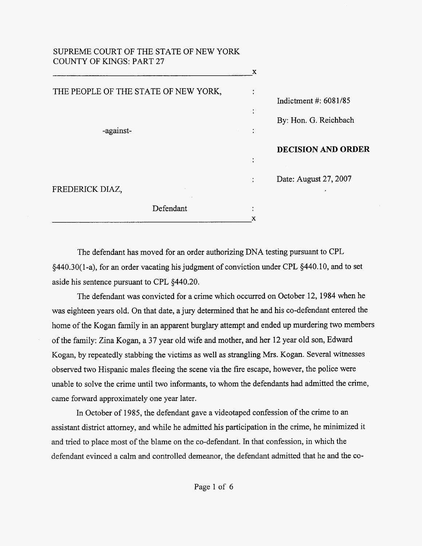## <span id="page-0-0"></span>SUPREME COURT OF THE STATE OF NEW YORK COUNTY OF KINGS: PART 27

| Indictment #: $6081/85$   |
|---------------------------|
| By: Hon. G. Reichbach     |
| <b>DECISION AND ORDER</b> |
| Date: August 27, 2007     |
| <b>A</b>                  |
|                           |
|                           |

The defendant has moved for an order authorizing DNA testing pursuant to CPL  $\S$ 440.30(1-a), for an order vacating his judgment of conviction under CPL  $\S$ 440.10, and to set aside his sentence pursuant to CPL 5440.20.

The defendant was convicted for a crime which occurred on October 12, 1984 when he was eighteen years old. On that date, a jury determined that he and his co-defendant entered the home of the Kogan family in an apparent burglary attempt and ended up murdering two members of the family: Zina Kogan, a 37 year old wife and mother, and her 12 year old son, Edward Kogan, by repeatedly stabbing the victims as well as strangling Mrs. Kogan. Several witnesses observed two Hispanic males fleeing the scene via the fire escape, however, the police were unable to solve the crime until two informants, to whom the defendants had admitted the crime, came forward approximately one year later.

In October of 1985, the defendant gave a videotaped confession of the crime to an assistant district attorney, and while he admitted his participation in the crime, he minimized it and tried to place most of the blame on the co-defendant. In that confession, in which the defendant evinced a calm and controlled demeanor, the defendant admitted that he and the co-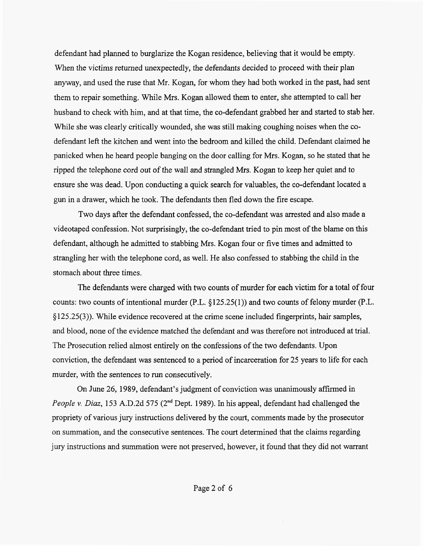<span id="page-1-0"></span>defendant had planned to burglarize the Kogan residence, believing that it would be empty. When the victims returned unexpectedly, the defendants decided to proceed with their plan anyway, and used the ruse that Mr. Kogan, for whom they had both worked in the past, had sent them to repair something. While Mrs. Kogan allowed them to enter, she attempted to call her husband to check with him, and at that time, the co-defendant grabbed her and started to stab her. While she was clearly critically wounded, she was still making coughing noises when the codefendant left the kitchen and went into the bedroom and killed the child. Defendant claimed he panicked when he heard people banging on the door calling for Mrs. Kogan, so he stated that he ripped the telephone cord out of the wall and strangled Mrs. Kogan to keep her quiet and to ensure she was dead. Upon conducting a quick search for valuables, the co-defendant located a gun in a drawer, which he took. The defendants then fled down the fire escape.

Two days after the defendant confessed, the co-defendant was arrested and also made a videotaped confession. Not surprisingly, the co-defendant tried to pin most of the blame on this defendant, although he admitted to stabbing Mrs. Kogan four or five times and admitted to strangling her with the telephone cord, as well. He also confessed to stabbing the child in the stomach about three times.

The defendants were charged with two counts of murder for each victim for a total of four counts: two counts of intentional murder  $(P.L. \& 125.25(1))$  and two counts of felony murder  $(P.L.$  $\S 125.25(3)$ ). While evidence recovered at the crime scene included fingerprints, hair samples, and blood, none of the evidence matched the defendant and was therefore not introduced at trial. The Prosecution relied almost entirely on the confessions of the two defendants. Upon conviction, the defendant was sentenced to a period of incarceration for 25 years to life for each murder, with the sentences to run consecutively.

On June 26, 1989, defendant's judgment of conviction was unanimously affirmed in *People v. Diaz,* 153 A.D.2d 575 (2<sup>nd</sup> Dept. 1989). In his appeal, defendant had challenged the propriety of various jury instructions delivered by the court, comments made by the prosecutor on summation, and the consecutive sentences. The court determined that the claims regarding jury instructions and summation were not preserved, however, it found that they did not warrant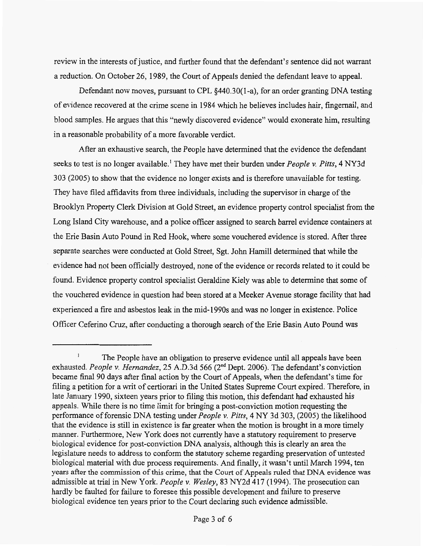review in the interests of justice, and further found that the defendant's sentence did not warrant a reduction. On October 26, 1989, the Court of Appeals denied the defendant leave to appeal.

Defendant now moves, pursuant to CPL §440.30(1-a), for an order granting DNA testing of evidence recovered at the crime scene in 1984 which he believes includes hair, fingernail, and blood samples. He argues that this "newly discovered evidence" would exonerate him, resulting in a reasonable probability of a more favorable verdict.

After an exhaustive search, the People have determined that the evidence the defendant seeks to test is no longer available.' They have met their burden under *People v. Pitts,* 4 NY3d *303* (2005) to show that the evidence no longer exists and is therefore unavailable for testing. They have filed affidavits from three individuals, including the supervisor in charge of the Brooklyn Property Clerk Division at Gold Street, an evidence property control specialist from the Long Island City warehouse, and a police officer assigned to search barrel evidence containers at the Erie Basin Auto Pound in Red Hook, where some vouchered evidence is stored. After three separate searches were conducted at Gold Street, *Sgt.* John Hamill determined that while the evidence had not been officially destroyed, none of the evidence or records related to it could be found. Evidence property control specialist Geraldine Kiely was able to determine that some of the vouchered evidence in question had been stored at a Meeker Avenue storage facility that had experienced a fire and asbestos leak in the mid- 1990s and was no longer in existence. Police Officer Ceferino Cruz, after conducting a thorough search of the Erie Basin Auto Pound was

The People have an obligation to preserve evidence until all appeals have been exhausted. *People v. Hernandez,* 25 A.D.3d 566 (2nd Dept. 2006). The defendant's conviction became final 90 days after final action by the Court of Appeals, when the defendant's time for filing a petition for a writ of certiorari in the United States Supreme Court expired. Therefore, in late January 1990, sixteen years prior to filing this motion, this defendant had exhausted his appeals. While there is no time limit for bringing a post-conviction motion requesting the performance of forensic DNA testing under *People v. Pitts,* 4 NY 3d 303, (2005) the likelihood that the evidence is still in existence is far greater when the motion is brought in a more timely manner. Furthermore, New York does not currently have a statutory requirement to preserve biological evidence for post-conviction DNA analysis, although this is clearly an area the legislature needs to address to conform the statutory scheme regarding preservation of untested biological material with due process requirements. And finally, it wasn't until March 1994, ten years after the commission of this crime, that the Court of Appeals ruled that DNA evidence was admissible at trial in New York. *People v. Wesley*, 83 NY2d 417 (1994). The prosecution can hardly be faulted for failure to foresee this possible development and failure to preserve biological evidence ten years prior to the Court declaring such evidence admissible. **1**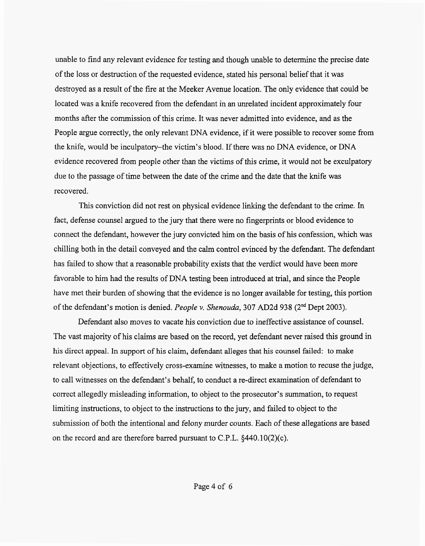unable to find any relevant evidence for testing and though unable to determine the precise date of the loss or destruction of the requested evidence, stated his personal belief that it was destroyed as a result of the fire at the Meeker Avenue location. The only evidence that could be located was a knife recovered from the defendant in an unrelated incident approximately four months after the commission of this crime. It was never admitted into evidence, and as the People argue correctly, the only relevant DNA evidence, if it were possible to recover some from the knife, would be inculpatory-the victim's blood. If there was no DNA evidence, or DNA evidence recovered from people other than the victims of this crime, it would not be exculpatory due to the passage of time between the date of the crime and the date that the knife was recovered.

This conviction did not rest on physical evidence linking the defendant to the crime. In fact, defense counsel argued to the jury that there were no fingerprints or blood evidence to connect the defendant, however the jury convicted him on the basis of his confession, which was chilling both in the detail conveyed and the calm control evinced by the defendant. The defendant has failed to show that a reasonable probability exists that the verdict would have been more favorable to him had the results of DNA testing been introduced at trial, and since the People have met their burden of showing that the evidence is no longer available for testing, this portion of the defendant's motion is denied. *People v. Shenouda,* 307 AD2d 938 (2nd Dept 2003).

Defendant also moves to vacate his conviction due to ineffective assistance of counsel. The vast majority of his claims are based on the record, yet defendant never raised this ground in his direct appeal. In support of his claim, defendant alleges that his counsel failed: to make relevant objections, to effectively cross-examine witnesses, to make a motion to recuse the judge, to call witnesses on the defendant's behalf, to conduct a re-direct examination of defendant to correct allegedly misleading information, to object to the prosecutor's summation, to request limiting instructions, to object to the instructions to the jury, and failed to object to the submission of both the intentional and felony murder counts. Each of these allegations are based on the record and are therefore barred pursuant to C.P.L. §440.10(2)(c).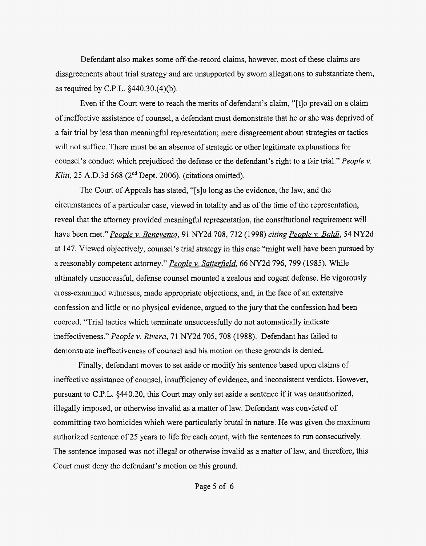Defendant also makes some off-the-record claims, however, most of these claims are disagreements about trial strategy and are unsupported by sworn allegations to substantiate them, as required by C.P.L. \$440.30.(4)(b).

Even if the Court were to reach the merits of defendant's claim, "[tlo prevail on a claim of ineffective assistance of counsel, a defendant must demonstrate that he or she was deprived of a fair trial by less than meaningful representation; mere disagreement about strategies or tactics will not suffice. There must be an absence of strategic or other legitimate explanations for counsel's conduct which prejudiced the defense or the defendant's right to a fair trial." *People v. Kliti,* 25 A.D.3d 568 (2"d Dept. 2006). (citations omitted).

The Court of Appeals has stated, "[slo long as the evidence, the law, and the circumstances of a particular case, viewed in totality and as of the time of the representation, reveal that the attorney provided meaningful representation, the constitutional requirement will have been met." *People v. Benevento*, 91 NY2d 708, 712 (1998) *citing People v. Baldi*, 54 NY2d at 147. Viewed objectively, counsel's trial strategy in this case "might well have been pursued by a reasonably competent attorney." *People v. Satterfield*, 66 NY2d 796, 799 (1985). While ultimately unsuccessful, defense counsel mounted a zealous and cogent defense. He vigorously cross-examined witnesses, made appropriate objections, and, in the face of an extensive confession and little or no physical evidence, argued to the jury that the confession had been coerced. "Trial tactics which terminate unsuccessfully do not automatically indicate ineffectiveness." *People v. Rivera,* 71 NY2d 705, 708 (1988). Defendant has failed to demonstrate ineffectiveness of counsel and his motion on these grounds is denied.

Finally, defendant moves to set aside or modify his sentence based upon claims of ineffective assistance of counsel, insufficiency of evidence, and inconsistent verdicts. However, pursuant to C.P.L. 5440.20, this Court may only set aside a sentence if it was unauthorized, illegally imposed, or otherwise invalid as a matter of law. Defendant was convicted of committing two homicides which were particularly brutal in nature. He was given the maximum authorized sentence of 25 years to life for each count, with the sentences to *run* consecutively. The sentence imposed was not illegal or otherwise invalid as a matter of law, and therefore, this Court must deny the defendant's motion on this ground.